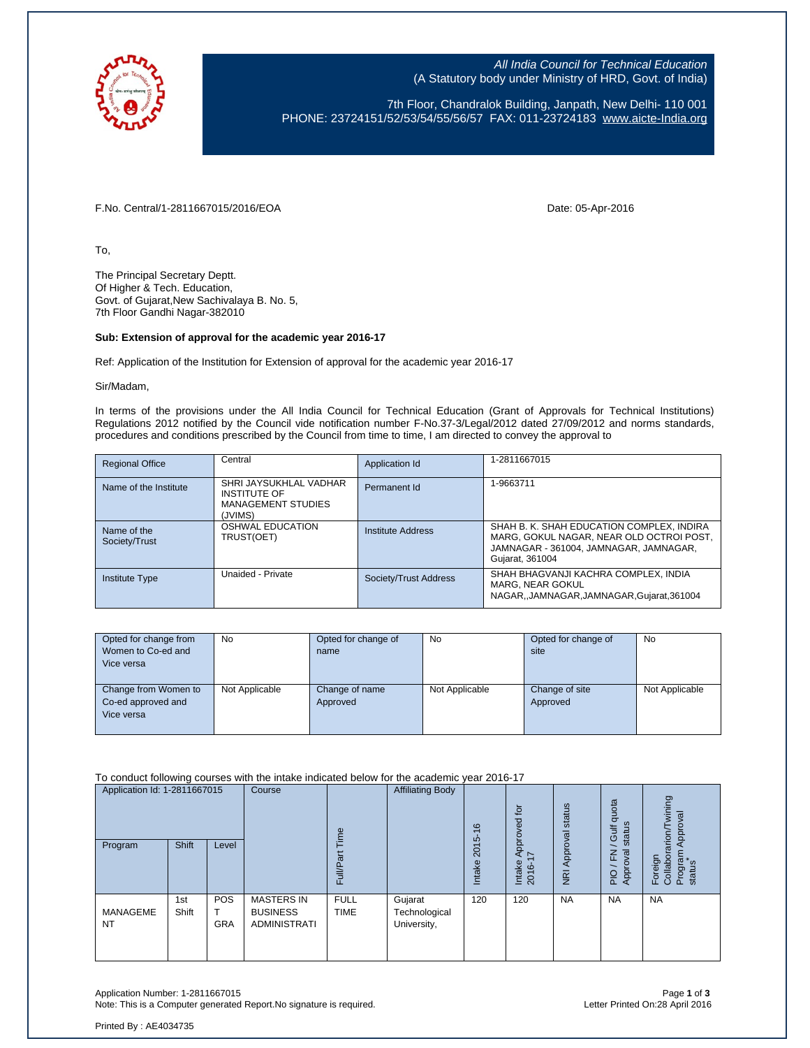

All India Council for Technical Education (A Statutory body under Ministry of HRD, Govt. of India)

7th Floor, Chandralok Building, Janpath, New Delhi- 110 001 PHONE: 23724151/52/53/54/55/56/57 FAX: 011-23724183 [www.aicte-India.org](http://www.aicte-india.org/)

F.No. Central/1-2811667015/2016/EOA Date: 05-Apr-2016

To,

The Principal Secretary Deptt. Of Higher & Tech. Education, Govt. of Gujarat,New Sachivalaya B. No. 5, 7th Floor Gandhi Nagar-382010

## **Sub: Extension of approval for the academic year 2016-17**

Ref: Application of the Institution for Extension of approval for the academic year 2016-17

Sir/Madam,

In terms of the provisions under the All India Council for Technical Education (Grant of Approvals for Technical Institutions) Regulations 2012 notified by the Council vide notification number F-No.37-3/Legal/2012 dated 27/09/2012 and norms standards, procedures and conditions prescribed by the Council from time to time, I am directed to convey the approval to

| <b>Regional Office</b>       | Central                                                                               | Application Id        | 1-2811667015                                                                                                                                       |
|------------------------------|---------------------------------------------------------------------------------------|-----------------------|----------------------------------------------------------------------------------------------------------------------------------------------------|
| Name of the Institute        | SHRI JAYSUKHLAL VADHAR<br><b>INSTITUTE OF</b><br><b>MANAGEMENT STUDIES</b><br>(JVIMS) | Permanent Id          | 1-9663711                                                                                                                                          |
| Name of the<br>Society/Trust | <b>OSHWAL EDUCATION</b><br>TRUST(OET)                                                 | Institute Address     | SHAH B. K. SHAH EDUCATION COMPLEX, INDIRA<br>MARG, GOKUL NAGAR, NEAR OLD OCTROI POST,<br>JAMNAGAR - 361004, JAMNAGAR, JAMNAGAR,<br>Gujarat, 361004 |
| <b>Institute Type</b>        | Unaided - Private                                                                     | Society/Trust Address | SHAH BHAGVANJI KACHRA COMPLEX, INDIA<br>MARG, NEAR GOKUL<br>NAGAR, JAMNAGAR, JAMNAGAR, Gujarat, 361004                                             |

| Opted for change from<br>Women to Co-ed and<br>Vice versa | <b>No</b>      | Opted for change of<br>name | No             | Opted for change of<br>site | <b>No</b>      |
|-----------------------------------------------------------|----------------|-----------------------------|----------------|-----------------------------|----------------|
| Change from Women to<br>Co-ed approved and<br>Vice versa  | Not Applicable | Change of name<br>Approved  | Not Applicable | Change of site<br>Approved  | Not Applicable |

To conduct following courses with the intake indicated below for the academic year 2016-17

| Application Id: 1-2811667015<br>Shift<br>Program<br>Level |              | Course            | ime                                                         |                            | $\frac{6}{5}$                           | Approved for   | status              | quota<br>status<br><b>Jif</b> | wining<br>Approval<br>arion/ |                                          |
|-----------------------------------------------------------|--------------|-------------------|-------------------------------------------------------------|----------------------------|-----------------------------------------|----------------|---------------------|-------------------------------|------------------------------|------------------------------------------|
|                                                           |              |                   |                                                             | ãτ<br>$\frac{d}{dt}$<br>ш  |                                         | 2015<br>Intake | Ľ<br>Intake<br>2016 | Approval<br>$\overline{R}$    | Approval<br>준<br>PIO         | Program<br>status<br>Foreign<br>Collabor |
| <b>MANAGEME</b><br><b>NT</b>                              | 1st<br>Shift | POS<br><b>GRA</b> | <b>MASTERS IN</b><br><b>BUSINESS</b><br><b>ADMINISTRATI</b> | <b>FULL</b><br><b>TIME</b> | Gujarat<br>Technological<br>University, | 120            | 120                 | <b>NA</b>                     | <b>NA</b>                    | <b>NA</b>                                |

Application Number: 1-2811667015 Page **1** of **3** Note: This is a Computer generated Report.No signature is required.

Printed By : AE4034735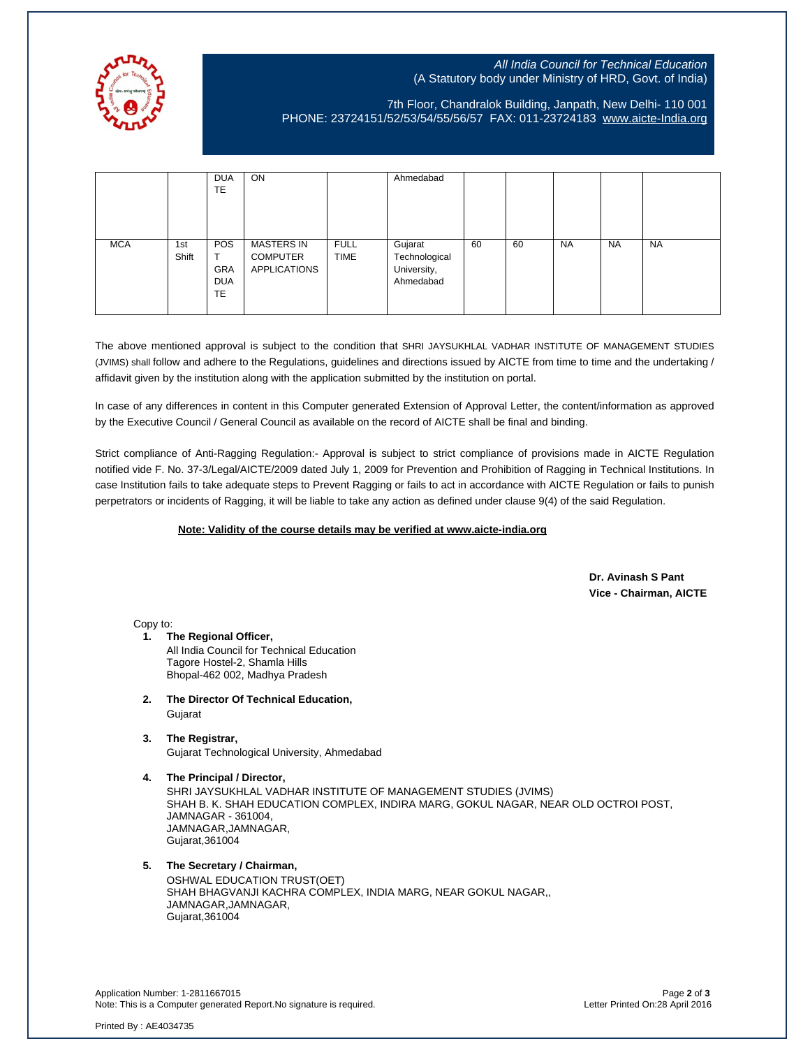

## All India Council for Technical Education (A Statutory body under Ministry of HRD, Govt. of India)

## 7th Floor, Chandralok Building, Janpath, New Delhi- 110 001 PHONE: 23724151/52/53/54/55/56/57 FAX: 011-23724183 [www.aicte-India.org](http://www.aicte-india.org/)

|            |              | <b>DUA</b><br>TE                                    | <b>ON</b>                                                   |                            | Ahmedabad                                            |    |    |           |           |           |
|------------|--------------|-----------------------------------------------------|-------------------------------------------------------------|----------------------------|------------------------------------------------------|----|----|-----------|-----------|-----------|
| <b>MCA</b> | 1st<br>Shift | <b>POS</b><br><b>GRA</b><br><b>DUA</b><br><b>TE</b> | <b>MASTERS IN</b><br><b>COMPUTER</b><br><b>APPLICATIONS</b> | <b>FULL</b><br><b>TIME</b> | Gujarat<br>Technological<br>University,<br>Ahmedabad | 60 | 60 | <b>NA</b> | <b>NA</b> | <b>NA</b> |

The above mentioned approval is subject to the condition that SHRI JAYSUKHLAL VADHAR INSTITUTE OF MANAGEMENT STUDIES (JVIMS) shall follow and adhere to the Regulations, guidelines and directions issued by AICTE from time to time and the undertaking / affidavit given by the institution along with the application submitted by the institution on portal.

In case of any differences in content in this Computer generated Extension of Approval Letter, the content/information as approved by the Executive Council / General Council as available on the record of AICTE shall be final and binding.

Strict compliance of Anti-Ragging Regulation:- Approval is subject to strict compliance of provisions made in AICTE Regulation notified vide F. No. 37-3/Legal/AICTE/2009 dated July 1, 2009 for Prevention and Prohibition of Ragging in Technical Institutions. In case Institution fails to take adequate steps to Prevent Ragging or fails to act in accordance with AICTE Regulation or fails to punish perpetrators or incidents of Ragging, it will be liable to take any action as defined under clause 9(4) of the said Regulation.

## **Note: Validity of the course details may be verified at www.aicte-india.org**

 **Dr. Avinash S Pant Vice - Chairman, AICTE**

Copy to:

- **1. The Regional Officer,** All India Council for Technical Education Tagore Hostel-2, Shamla Hills Bhopal-462 002, Madhya Pradesh
- **2. The Director Of Technical Education,** Gujarat
- **3. The Registrar,** Gujarat Technological University, Ahmedabad
- **4. The Principal / Director,** SHRI JAYSUKHLAL VADHAR INSTITUTE OF MANAGEMENT STUDIES (JVIMS) SHAH B. K. SHAH EDUCATION COMPLEX, INDIRA MARG, GOKUL NAGAR, NEAR OLD OCTROI POST, JAMNAGAR - 361004, JAMNAGAR,JAMNAGAR, Gujarat,361004
- **5. The Secretary / Chairman,**

OSHWAL EDUCATION TRUST(OET) SHAH BHAGVANJI KACHRA COMPLEX, INDIA MARG, NEAR GOKUL NAGAR,, JAMNAGAR,JAMNAGAR, Gujarat,361004

Application Number: 1-2811667015 Page **2** of **3** Note: This is a Computer generated Report.No signature is required.